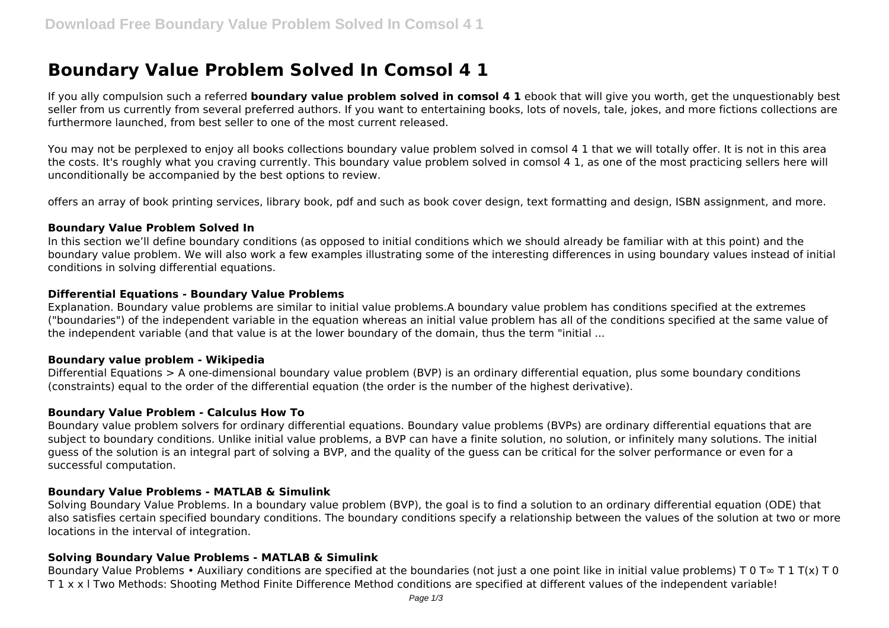# **Boundary Value Problem Solved In Comsol 4 1**

If you ally compulsion such a referred **boundary value problem solved in comsol 4 1** ebook that will give you worth, get the unquestionably best seller from us currently from several preferred authors. If you want to entertaining books, lots of novels, tale, jokes, and more fictions collections are furthermore launched, from best seller to one of the most current released.

You may not be perplexed to enjoy all books collections boundary value problem solved in comsol 4 1 that we will totally offer. It is not in this area the costs. It's roughly what you craving currently. This boundary value problem solved in comsol 4 1, as one of the most practicing sellers here will unconditionally be accompanied by the best options to review.

offers an array of book printing services, library book, pdf and such as book cover design, text formatting and design, ISBN assignment, and more.

#### **Boundary Value Problem Solved In**

In this section we'll define boundary conditions (as opposed to initial conditions which we should already be familiar with at this point) and the boundary value problem. We will also work a few examples illustrating some of the interesting differences in using boundary values instead of initial conditions in solving differential equations.

## **Differential Equations - Boundary Value Problems**

Explanation. Boundary value problems are similar to initial value problems.A boundary value problem has conditions specified at the extremes ("boundaries") of the independent variable in the equation whereas an initial value problem has all of the conditions specified at the same value of the independent variable (and that value is at the lower boundary of the domain, thus the term "initial ...

## **Boundary value problem - Wikipedia**

Differential Equations > A one-dimensional boundary value problem (BVP) is an ordinary differential equation, plus some boundary conditions (constraints) equal to the order of the differential equation (the order is the number of the highest derivative).

## **Boundary Value Problem - Calculus How To**

Boundary value problem solvers for ordinary differential equations. Boundary value problems (BVPs) are ordinary differential equations that are subject to boundary conditions. Unlike initial value problems, a BVP can have a finite solution, no solution, or infinitely many solutions. The initial guess of the solution is an integral part of solving a BVP, and the quality of the guess can be critical for the solver performance or even for a successful computation.

## **Boundary Value Problems - MATLAB & Simulink**

Solving Boundary Value Problems. In a boundary value problem (BVP), the goal is to find a solution to an ordinary differential equation (ODE) that also satisfies certain specified boundary conditions. The boundary conditions specify a relationship between the values of the solution at two or more locations in the interval of integration.

## **Solving Boundary Value Problems - MATLAB & Simulink**

Boundary Value Problems • Auxiliary conditions are specified at the boundaries (not just a one point like in initial value problems) T 0 T  $\infty$  T 1 T(x) T 0 T 1 x x l Two Methods: Shooting Method Finite Difference Method conditions are specified at different values of the independent variable!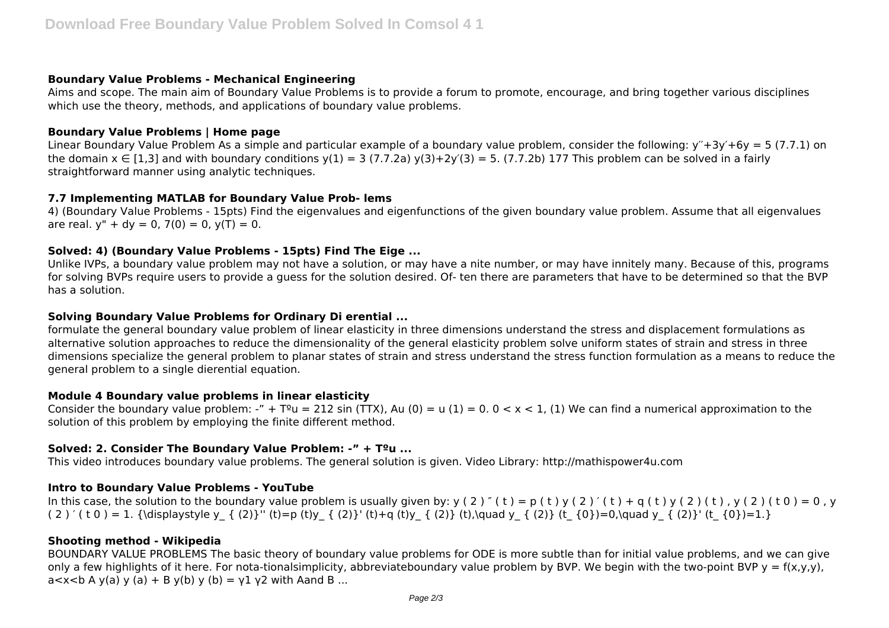# **Boundary Value Problems - Mechanical Engineering**

Aims and scope. The main aim of Boundary Value Problems is to provide a forum to promote, encourage, and bring together various disciplines which use the theory, methods, and applications of boundary value problems.

# **Boundary Value Problems | Home page**

Linear Boundary Value Problem As a simple and particular example of a boundary value problem, consider the following:  $y'' + 3y' + 6y = 5 (7.7.1)$  on the domain  $x \in [1,3]$  and with boundary conditions  $y(1) = 3 (7.7.2a) y(3) + 2y'(3) = 5$ . (7.7.2b) 177 This problem can be solved in a fairly straightforward manner using analytic techniques.

# **7.7 Implementing MATLAB for Boundary Value Prob- lems**

4) (Boundary Value Problems - 15pts) Find the eigenvalues and eigenfunctions of the given boundary value problem. Assume that all eigenvalues are real.  $y'' + dy = 0$ ,  $7(0) = 0$ ,  $y(T) = 0$ .

# **Solved: 4) (Boundary Value Problems - 15pts) Find The Eige ...**

Unlike IVPs, a boundary value problem may not have a solution, or may have a nite number, or may have innitely many. Because of this, programs for solving BVPs require users to provide a guess for the solution desired. Of- ten there are parameters that have to be determined so that the BVP has a solution.

# **Solving Boundary Value Problems for Ordinary Di erential ...**

formulate the general boundary value problem of linear elasticity in three dimensions understand the stress and displacement formulations as alternative solution approaches to reduce the dimensionality of the general elasticity problem solve uniform states of strain and stress in three dimensions specialize the general problem to planar states of strain and stress understand the stress function formulation as a means to reduce the general problem to a single dierential equation.

# **Module 4 Boundary value problems in linear elasticity**

Consider the boundary value problem: -" +  $T<sup>9</sup>u = 212 \sin(TTX)$ , Au (0) = u (1) = 0. 0 < x < 1, (1) We can find a numerical approximation to the solution of this problem by employing the finite different method.

# **Solved: 2. Consider The Boundary Value Problem: -" + Tºu ...**

This video introduces boundary value problems. The general solution is given. Video Library: http://mathispower4u.com

# **Intro to Boundary Value Problems - YouTube**

In this case, the solution to the boundary value problem is usually given by:  $y(2)'(t) = p(t)y(2)'(t) + q(t)y(2)(t)$ ,  $y(2)(t)$ ,  $y(2)(t0) = 0$ , y ( 2 ) ' ( t 0 ) = 1. {\displaystyle y { (2)}'' (t)=p (t)y { (2)}' (t)+q (t)y { (2)} (t),\quad y { (2)} (t {0})=0,\quad y { (2)}' (t {0})=1.}

# **Shooting method - Wikipedia**

BOUNDARY VALUE PROBLEMS The basic theory of boundary value problems for ODE is more subtle than for initial value problems, and we can give only a few highlights of it here. For nota-tionalsimplicity, abbreviateboundary value problem by BVP. We begin with the two-point BVP  $y = f(x,y,y)$ ,  $a < x < b$  A y(a) y (a) + B y(b) y (b) = y1 y2 with Aand B ...